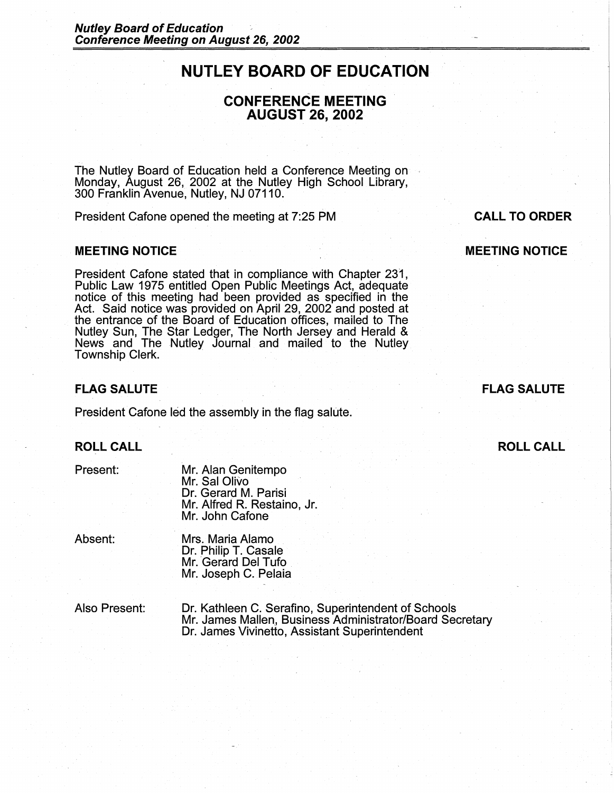# **NUTLEY BOARD OF EDUCATION**

# **CONFERENCE MEETING AUGUST 26, 2002**

The Nutley Board of Education held a Conference Meeting on Monday, August 26, 2002 at the Nutley High School Library, 300 Franklin Avenue, Nutley, NJ 07110.

President Cafone opened the meeting at 7:25 PM

#### **MEETING NOTICE**

President Cafone stated that in compliance with Chapter 231, Public Law 1975 entitled Open Public Meetings Act, adequate notice of this meeting had been provided as specified in the Act. Said notice was provided on April 29, 2002 and posted at the entrance of the Board of Education offices, mailed to The Nutley Sun, The Star Ledger, The North Jersey and Herald & News and The Nutley Journal and mailed to the Nutley Township Clerk.

## **FLAG SALUTE**

President Cafone led the assembly in the flag salute.

# **ROLL CALL**

Present:

Mr. Alan Genitempo Mr. Sal Olivo Dr. Gerard M. Parisi Mr. Alfred R. Restaino, Jr. Mr. John Cafone

Absent:

Mrs. Maria Alamo Dr. Philip T. Casale Mr. Gerard Del Tufo Mr. Joseph C. Pelaia

Also Present:

Dr. Kathleen C. Serafino, Superintendent of Schools Mr. James Mallen., Business Administrator/Board Secretary Dr. James Vivinetto, Assistant Superintendent

**CALL TO ORDER MEETING NOTICE** 

# **FLAG SALUTE**

**ROLL CALL**